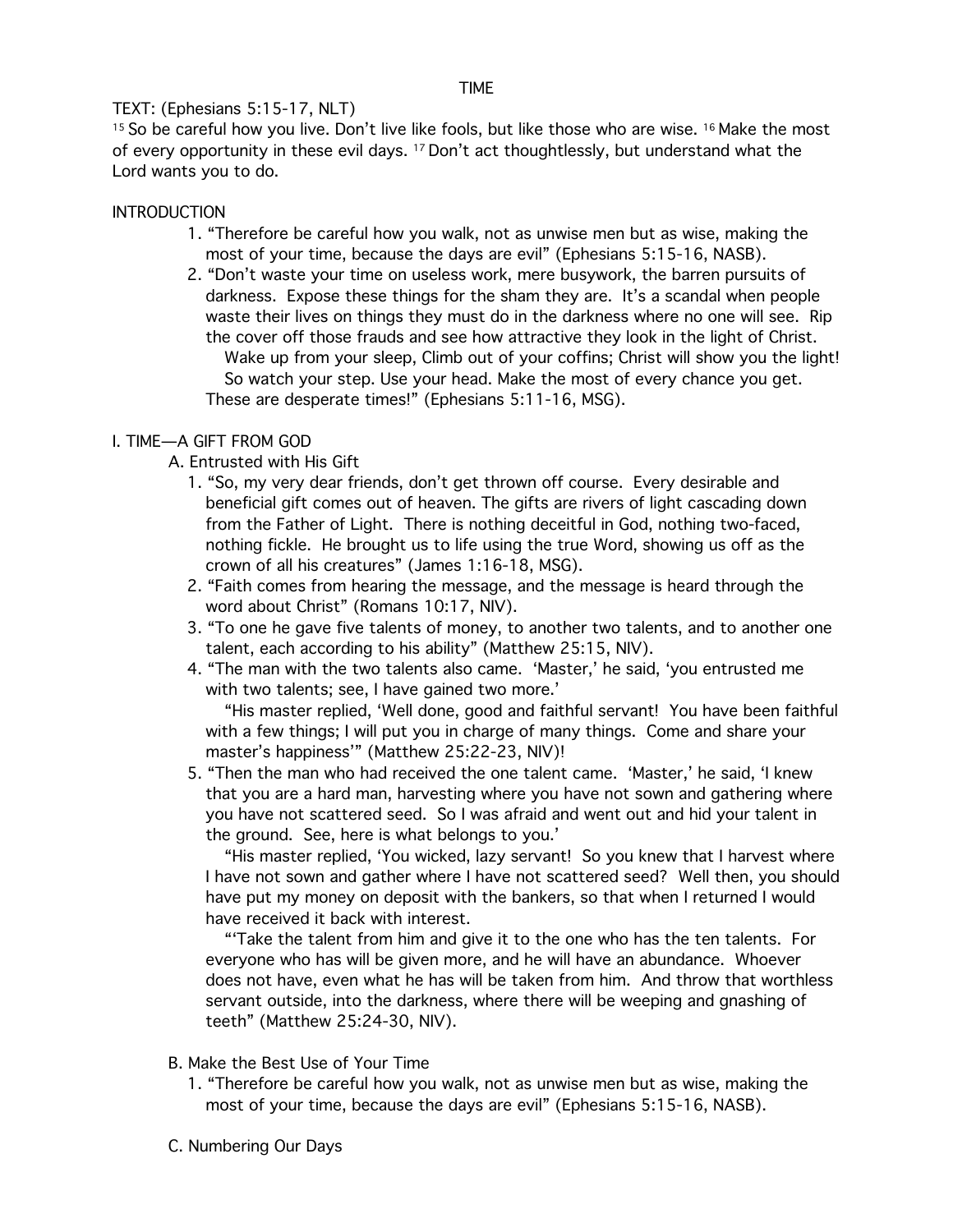#### TIME

## TEXT: (Ephesians 5:15-17, NLT)

<sup>15</sup> So be careful how you live. Don't live like fools, but like those who are wise. <sup>16</sup> Make the most of every opportunity in these evil days. 17 Don't act thoughtlessly, but understand what the Lord wants you to do.

### **INTRODUCTION**

- 1. "Therefore be careful how you walk, not as unwise men but as wise, making the most of your time, because the days are evil" (Ephesians 5:15-16, NASB).
- 2. "Don't waste your time on useless work, mere busywork, the barren pursuits of darkness. Expose these things for the sham they are. It's a scandal when people waste their lives on things they must do in the darkness where no one will see. Rip the cover off those frauds and see how attractive they look in the light of Christ. Wake up from your sleep, Climb out of your coffins; Christ will show you the light! So watch your step. Use your head. Make the most of every chance you get. These are desperate times!" (Ephesians 5:11-16, MSG).

## I. TIME—A GIFT FROM GOD

- A. Entrusted with His Gift
	- 1. "So, my very dear friends, don't get thrown off course. Every desirable and beneficial gift comes out of heaven. The gifts are rivers of light cascading down from the Father of Light. There is nothing deceitful in God, nothing two-faced, nothing fickle. He brought us to life using the true Word, showing us off as the crown of all his creatures" (James 1:16-18, MSG).
	- 2. "Faith comes from hearing the message, and the message is heard through the word about Christ" (Romans 10:17, NIV).
	- 3. "To one he gave five talents of money, to another two talents, and to another one talent, each according to his ability" (Matthew 25:15, NIV).
	- 4. "The man with the two talents also came. 'Master,' he said, 'you entrusted me with two talents; see, I have gained two more.'

"His master replied, 'Well done, good and faithful servant! You have been faithful with a few things; I will put you in charge of many things. Come and share your master's happiness'" (Matthew 25:22-23, NIV)!

5. "Then the man who had received the one talent came. 'Master,' he said, 'I knew that you are a hard man, harvesting where you have not sown and gathering where you have not scattered seed. So I was afraid and went out and hid your talent in the ground. See, here is what belongs to you.'

"His master replied, 'You wicked, lazy servant! So you knew that I harvest where I have not sown and gather where I have not scattered seed? Well then, you should have put my money on deposit with the bankers, so that when I returned I would have received it back with interest.

"'Take the talent from him and give it to the one who has the ten talents. For everyone who has will be given more, and he will have an abundance. Whoever does not have, even what he has will be taken from him. And throw that worthless servant outside, into the darkness, where there will be weeping and gnashing of teeth" (Matthew 25:24-30, NIV).

- B. Make the Best Use of Your Time
	- 1. "Therefore be careful how you walk, not as unwise men but as wise, making the most of your time, because the days are evil" (Ephesians 5:15-16, NASB).